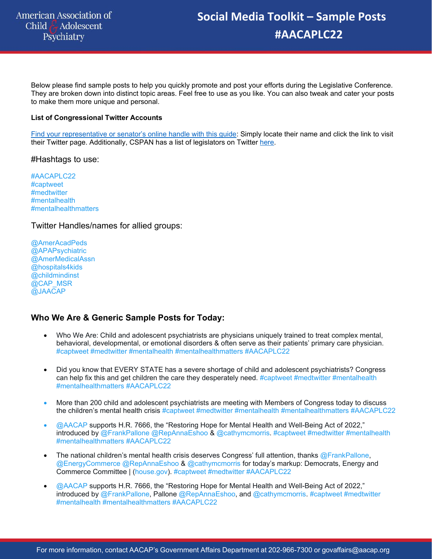Below please find sample posts to help you quickly promote and post your efforts during the Legislative Conference. They are broken down into distinct topic areas. Feel free to use as you like. You can also tweak and cater your posts to make them more unique and personal.

### **List of Congressional Twitter Accounts**

Find your representative or senator's online handle with this guide: Simply locate their name and click the link to visit their Twitter page. Additionally, CSPAN has a list of legislators on Twitter here.

#Hashtags to use:

#AACAPLC22 #captweet #medtwitter #mentalhealth #mentalhealthmatters

Twitter Handles/names for allied groups:

@AmerAcadPeds @APAPsychiatric @AmerMedicalAssn @hospitals4kids @childmindinst @CAP\_MSR @JAACAP

### **Who We Are & Generic Sample Posts for Today:**

- Who We Are: Child and adolescent psychiatrists are physicians uniquely trained to treat complex mental, behavioral, developmental, or emotional disorders & often serve as their patients' primary care physician. #captweet #medtwitter #mentalhealth #mentalhealthmatters #AACAPLC22
- Did you know that EVERY STATE has a severe shortage of child and adolescent psychiatrists? Congress can help fix this and get children the care they desperately need. #captweet #medtwitter #mentalhealth #mentalhealthmatters #AACAPLC22
- More than 200 child and adolescent psychiatrists are meeting with Members of Congress today to discuss the children's mental health crisis #captweet #medtwitter #mentalhealth #mentalhealthmatters #AACAPLC22
- @AACAP supports H.R. 7666, the "Restoring Hope for Mental Health and Well-Being Act of 2022," introduced by @FrankPallone @RepAnnaEshoo & @cathymcmorris. #captweet #medtwitter #mentalhealth #mentalhealthmatters #AACAPLC22
- The national children's mental health crisis deserves Congress' full attention, thanks  $@$  FrankPallone, @EnergyCommerce @RepAnnaEshoo & @cathymcmorris for today's markup: Democrats, Energy and Commerce Committee | (house.gov). #captweet #medtwitter #AACAPLC22
- @AACAP supports H.R. 7666, the "Restoring Hope for Mental Health and Well-Being Act of 2022," introduced by @FrankPallone, Pallone @RepAnnaEshoo, and @cathymcmorris. #captweet #medtwitter #mentalhealth #mentalhealthmatters #AACAPLC22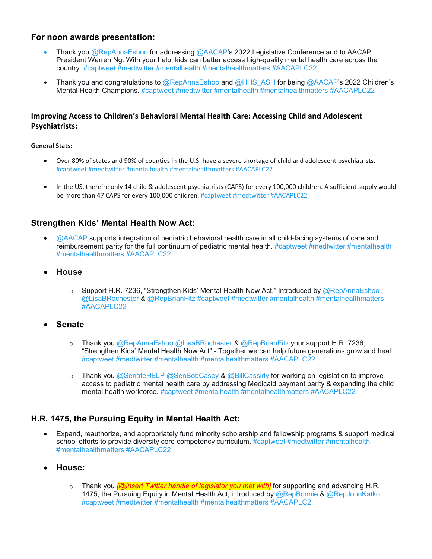### **For noon awards presentation:**

- Thank you @RepAnnaEshoo for addressing @AACAP's 2022 Legislative Conference and to AACAP President Warren Ng. With your help, kids can better access high-quality mental health care across the country. #captweet #medtwitter #mentalhealth #mentalhealthmatters #AACAPLC22
- Thank you and congratulations to @RepAnnaEshoo and @HHS\_ASH for being @AACAP's 2022 Children's Mental Health Champions. #captweet #medtwitter #mentalhealth #mentalhealthmatters #AACAPLC22

### **Improving Access to Children's Behavioral Mental Health Care: Accessing Child and Adolescent Psychiatrists:**

### **General Stats:**

- Over 80% of states and 90% of counties in the U.S. have a severe shortage of child and adolescent psychiatrists. #captweet #medtwitter #mentalhealth #mentalhealthmatters #AACAPLC22
- In the US, there're only 14 child & adolescent psychiatrists (CAPS) for every 100,000 children. A sufficient supply would be more than 47 CAPS for every 100,000 children. #captweet #medtwitter #AACAPLC22

### **Strengthen Kids' Mental Health Now Act:**

- @AACAP supports integration of pediatric behavioral health care in all child-facing systems of care and reimbursement parity for the full continuum of pediatric mental health. #captweet #medtwitter #mentalhealth #mentalhealthmatters #AACAPLC22
- **House** 
	- o Support H.R. 7236, "Strengthen Kids' Mental Health Now Act," Introduced by @RepAnnaEshoo @LisaBRochester & @RepBrianFitz #captweet #medtwitter #mentalhealth #mentalhealthmatters #AACAPLC22
- **Senate** 
	- o Thank you @RepAnnaEshoo @LisaBRochester & @RepBrianFitz your support H.R. 7236, "Strengthen Kids' Mental Health Now Act" - Together we can help future generations grow and heal. #captweet #medtwitter #mentalhealth #mentalhealthmatters #AACAPLC22
	- o Thank you @SenateHELP @SenBobCasey & @BillCassidy for working on legislation to improve access to pediatric mental health care by addressing Medicaid payment parity & expanding the child mental health workforce. #captweet #mentalhealth #mentalhealthmatters #AACAPLC22

### **H.R. 1475, the Pursuing Equity in Mental Health Act:**

- Expand, reauthorize, and appropriately fund minority scholarship and fellowship programs & support medical school efforts to provide diversity core competency curriculum. #captweet #medtwitter #mentalhealth #mentalhealthmatters #AACAPLC22
- **House:**
	- o Thank you *[@insert Twitter handle of legislator you met with]* for supporting and advancing H.R. 1475, the Pursuing Equity in Mental Health Act, introduced by  $@Rep$ Bonnie &  $@Rep$ JohnKatko #captweet #medtwitter #mentalhealth #mentalhealthmatters #AACAPLC2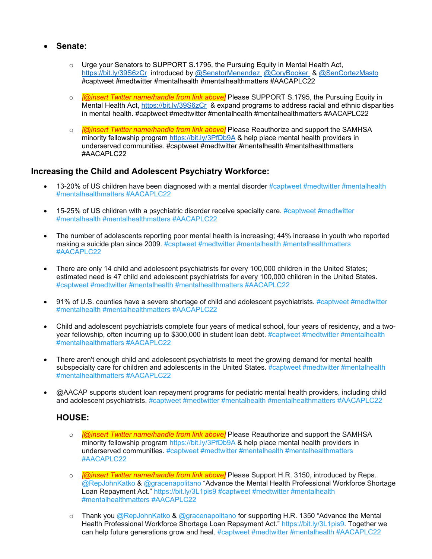- **Senate:**
	- $\circ$  Urge your Senators to SUPPORT S.1795, the Pursuing Equity in Mental Health Act, https://bit.ly/39S6zCr introduced by @SenatorMenendez @CoryBooker & @SenCortezMasto #captweet #medtwitter #mentalhealth #mentalhealthmatters #AACAPLC22
	- o *[@insert Twitter name/handle from link above]* Please SUPPORT S.1795, the Pursuing Equity in Mental Health Act, https://bit.ly/39S6zCr & expand programs to address racial and ethnic disparities in mental health. #captweet #medtwitter #mentalhealth #mentalhealthmatters #AACAPLC22
	- o *[@insert Twitter name/handle from link above]* Please Reauthorize and support the SAMHSA minority fellowship program https://bit.ly/3PfDb9A & help place mental health providers in underserved communities. #captweet #medtwitter #mentalhealth #mentalhealthmatters #AACAPLC22

### **Increasing the Child and Adolescent Psychiatry Workforce:**

- $\bullet$  13-20% of US children have been diagnosed with a mental disorder #captweet #medtwitter #mentalhealth #mentalhealthmatters #AACAPLC22
- $\bullet$  15-25% of US children with a psychiatric disorder receive specialty care. #captweet #medtwitter #mentalhealth #mentalhealthmatters #AACAPLC22
- The number of adolescents reporting poor mental health is increasing; 44% increase in youth who reported making a suicide plan since 2009. #captweet #medtwitter #mentalhealth #mentalhealthmatters #AACAPLC22
- There are only 14 child and adolescent psychiatrists for every 100,000 children in the United States; estimated need is 47 child and adolescent psychiatrists for every 100,000 children in the United States. #captweet #medtwitter #mentalhealth #mentalhealthmatters #AACAPLC22
- 91% of U.S. counties have a severe shortage of child and adolescent psychiatrists. #captweet #medtwitter #mentalhealth #mentalhealthmatters #AACAPLC22
- Child and adolescent psychiatrists complete four years of medical school, four years of residency, and a twoyear fellowship, often incurring up to \$300,000 in student loan debt. #captweet #medtwitter #mentalhealth #mentalhealthmatters #AACAPLC22
- There aren't enough child and adolescent psychiatrists to meet the growing demand for mental health subspecialty care for children and adolescents in the United States. #captweet #medtwitter #mentalhealth #mentalhealthmatters #AACAPLC22
- @AACAP supports student loan repayment programs for pediatric mental health providers, including child and adolescent psychiatrists. #captweet #medtwitter #mentalhealth #mentalhealthmatters #AACAPLC22

### **HOUSE:**

- o *[@insert Twitter name/handle from link above] Please Reauthorize and support the SAMHSA* minority fellowship program https://bit.ly/3PfDb9A & help place mental health providers in underserved communities. #captweet #medtwitter #mentalhealth #mentalhealthmatters #AACAPLC22
- o *[@insert Twitter name/handle from link above]* Please Support H.R. 3150, introduced by Reps. @RepJohnKatko & @gracenapolitano "Advance the Mental Health Professional Workforce Shortage Loan Repayment Act." https://bit.ly/3L1pis9 #captweet #medtwitter #mentalhealth #mentalhealthmatters #AACAPLC22
- o Thank you  $@$ RepJohnKatko & @gracenapolitano for supporting H.R. 1350 "Advance the Mental Health Professional Workforce Shortage Loan Repayment Act." https://bit.ly/3L1pis9. Together we can help future generations grow and heal. #captweet #medtwitter #mentalhealth #AACAPLC22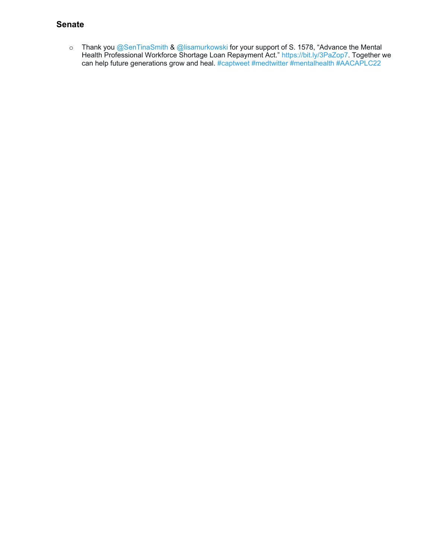### **Senate**

o Thank you @SenTinaSmith & @lisamurkowski for your support of S. 1578, "Advance the Mental Health Professional Workforce Shortage Loan Repayment Act." https://bit.ly/3PaZop7. Together we can help future generations grow and heal. #captweet #medtwitter #mentalhealth #AACAPLC22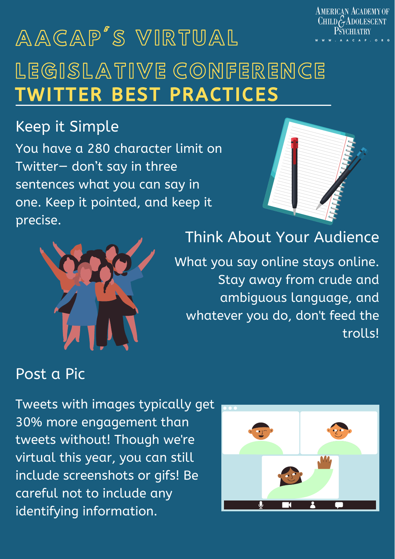**AMERICAN ACADEMY OF**  $CHILDGADOLESCENT$ 

A P . O R G

Tweets with images typically get 30% more engagement than

tweets without! Though we're virtual this year, you can still include screenshots or gifs! Be careful not to include any identifying information.



# A A G A P S V IR T U A L LEGISLATIVE CONFERENCE TWITTER BEST PRACTICES

You have a 280 character limit on Twitter— don't say in three sentences what you can say in one. Keep it pointed, and keep it



precise.

What you say online stays online. Stay away from crude and ambiguous language, and whatever you do, don't feed the trolls!



# Keep it Simple

### Think About Your Audience

### Post a Pic